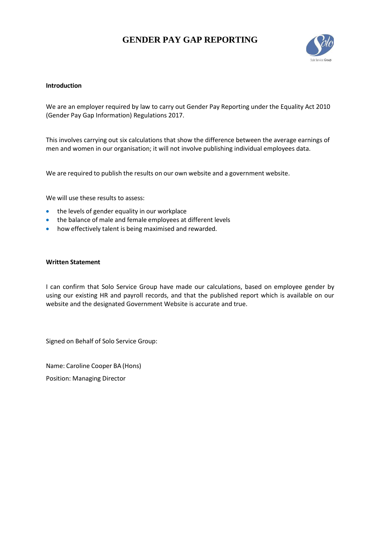# **GENDER PAY GAP REPORTING**



#### **Introduction**

We are an employer required by law to carry out Gender Pay Reporting under the Equality Act 2010 (Gender Pay Gap Information) Regulations 2017.

This involves carrying out six calculations that show the difference between the average earnings of men and women in our organisation; it will not involve publishing individual employees data.

We are required to publish the results on our own website and a government website.

We will use these results to assess:

- the levels of gender equality in our workplace
- the balance of male and female employees at different levels
- how effectively talent is being maximised and rewarded.

#### **Written Statement**

I can confirm that Solo Service Group have made our calculations, based on employee gender by using our existing HR and payroll records, and that the published report which is available on our website and the designated Government Website is accurate and true.

Signed on Behalf of Solo Service Group:

Name: Caroline Cooper BA (Hons) Position: Managing Director